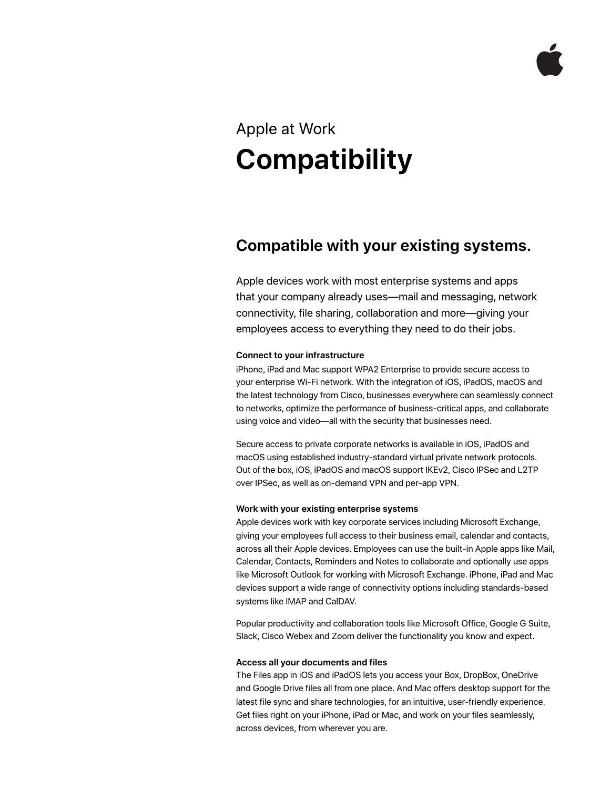# Apple at Work **Compatibility**

# **Compatible with your existing systems.**

Apple devices work with most enterprise systems and apps that your company already uses—mail and messaging, network connectivity, file sharing, collaboration and more—giving your employees access to everything they need to do their jobs.

## **Connect to your infrastructure**

iPhone, iPad and Mac support WPA2 Enterprise to provide secure access to your enterprise Wi-Fi network. With the integration of iOS, iPadOS, macOS and the latest technology from Cisco, businesses everywhere can seamlessly connect to networks, optimize the performance of business-critical apps, and collaborate using voice and video—all with the security that businesses need.

Secure access to private corporate networks is available in iOS, iPadOS and macOS using established industry-standard virtual private network protocols. Out of the box, iOS, iPadOS and macOS support IKEv2, Cisco IPSec and L2TP over IPSec, as well as on-demand VPN and per-app VPN.

#### **Work with your existing enterprise systems**

Apple devices work with key corporate services including Microsoft Exchange, giving your employees full access to their business email, calendar and contacts, across all their Apple devices. Employees can use the built-in Apple apps like Mail, Calendar, Contacts, Reminders and Notes to collaborate and optionally use apps like Microsoft Outlook for working with Microsoft Exchange. iPhone, iPad and Mac devices support a wide range of connectivity options including standards-based systems like IMAP and CalDAV.

Popular productivity and collaboration tools like Microsoft Office, Google G Suite, Slack, Cisco Webex and Zoom deliver the functionality you know and expect.

### **Access all your documents and files**

The Files app in iOS and iPadOS lets you access your Box, DropBox, OneDrive and Google Drive files all from one place. And Mac offers desktop support for the latest file sync and share technologies, for an intuitive, user-friendly experience. Get files right on your iPhone, iPad or Mac, and work on your files seamlessly, across devices, from wherever you are.